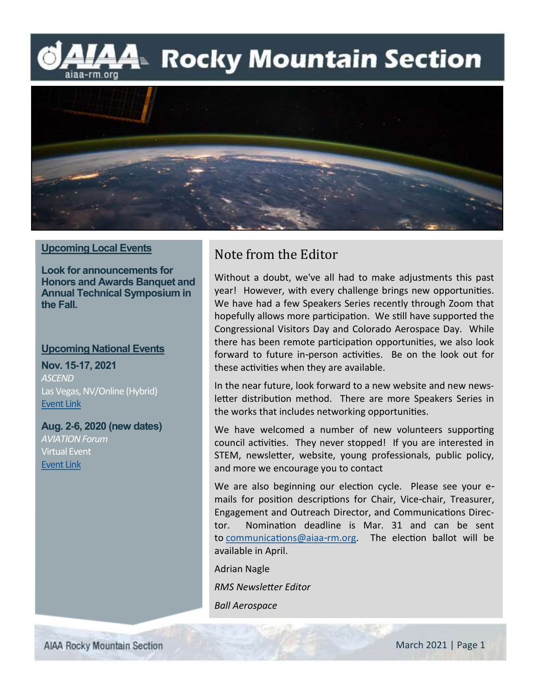## L⁄44 Rocky Mountain Section aiaa-rm.org



#### **Upcoming Local Events**

**Look for announcements for Honors and Awards Banquet and Annual Technical Symposium in the Fall.**

#### **Upcoming National Events**

**Nov. 15-17, 2021** *ASCEND* Las Vegas, NV/Online (Hybrid) [Event Link](https://www.ascend.events/)

**Aug. 2-6, 2020 (new dates)** *AVIATION Forum* Virtual Event [Event Link](https://www.aiaa.org/aviation/)

### Note from the Editor

Without a doubt, we've all had to make adjustments this past year! However, with every challenge brings new opportunities. We have had a few Speakers Series recently through Zoom that hopefully allows more participation. We still have supported the Congressional Visitors Day and Colorado Aerospace Day. While there has been remote participation opportunities, we also look forward to future in-person activities. Be on the look out for these activities when they are available.

In the near future, look forward to a new website and new newsletter distribution method. There are more Speakers Series in the works that includes networking opportunities.

We have welcomed a number of new volunteers supporting council activities. They never stopped! If you are interested in STEM, newsletter, website, young professionals, public policy, and more we encourage you to contact

We are also beginning our election cycle. Please see your emails for position descriptions for Chair, Vice-chair, Treasurer, Engagement and Outreach Director, and Communications Director. Nomination deadline is Mar. 31 and can be sent to [communications@aiaa-rm.org.](mailto:communications@aiaa-rm.org) The election ballot will be available in April.

Adrian Nagle *RMS Newsletter Editor*

*Ball Aerospace*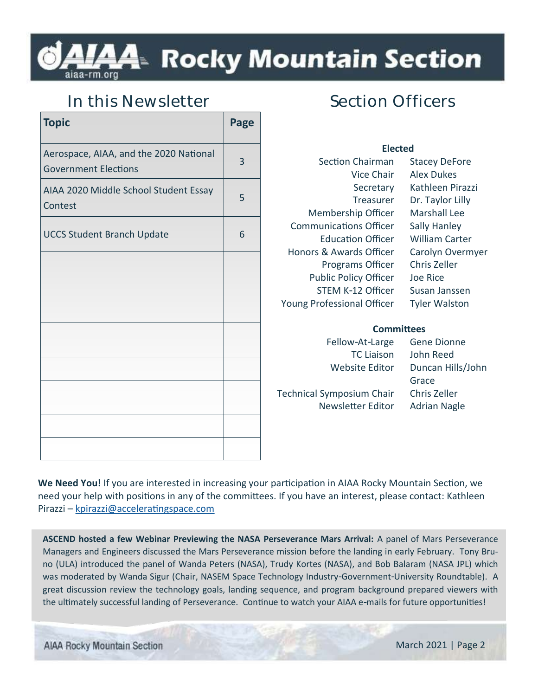# A4™ Rocky Mountain Section

### **In this Newsletter**

| <b>Topic</b>                                                          | Page |
|-----------------------------------------------------------------------|------|
| Aerospace, AIAA, and the 2020 National<br><b>Government Elections</b> | 3    |
| AIAA 2020 Middle School Student Essay<br>Contest                      | 5    |
| <b>UCCS Student Branch Update</b>                                     | 6    |
|                                                                       |      |
|                                                                       |      |
|                                                                       |      |
|                                                                       |      |
|                                                                       |      |
|                                                                       |      |
|                                                                       |      |

# **Section Officers**

| <b>Elected</b>                |                       |  |
|-------------------------------|-----------------------|--|
| <b>Section Chairman</b>       | <b>Stacey DeFore</b>  |  |
| Vice Chair                    | <b>Alex Dukes</b>     |  |
| Secretary                     | Kathleen Pirazzi      |  |
| Treasurer                     | Dr. Taylor Lilly      |  |
| Membership Officer            | Marshall Lee          |  |
| <b>Communications Officer</b> | <b>Sally Hanley</b>   |  |
| Education Officer             | <b>William Carter</b> |  |
| Honors & Awards Officer       | Carolyn Overmyer      |  |
| <b>Programs Officer</b>       | Chris Zeller          |  |
| <b>Public Policy Officer</b>  | Joe Rice              |  |
| STEM K-12 Officer             | Susan Janssen         |  |
| Young Professional Officer    | <b>Tyler Walston</b>  |  |
|                               |                       |  |
| Committees                    |                       |  |
| Fellow-At-Large               | <b>Gene Dionne</b>    |  |

Technical Symposium Chair Chris Zeller Newsletter Editor Adrian Nagle

TC Liaison John Reed Website Editor Duncan Hills/John Grace

**We Need You!** If you are interested in increasing your participation in AIAA Rocky Mountain Section, we need your help with positions in any of the committees. If you have an interest, please contact: Kathleen Pirazzi – [kpirazzi@acceleratingspace.com](mailto:kpirazzi@acceleratingspace.com)

**ASCEND hosted a few Webinar Previewing the NASA Perseverance Mars Arrival:** A panel of Mars Perseverance Managers and Engineers discussed the Mars Perseverance mission before the landing in early February. Tony Bruno (ULA) introduced the panel of Wanda Peters (NASA), Trudy Kortes (NASA), and Bob Balaram (NASA JPL) which was moderated by Wanda Sigur (Chair, NASEM Space Technology Industry-Government-University Roundtable). A great discussion review the technology goals, landing sequence, and program background prepared viewers with the ultimately successful landing of Perseverance. Continue to watch your AIAA e-mails for future opportunities!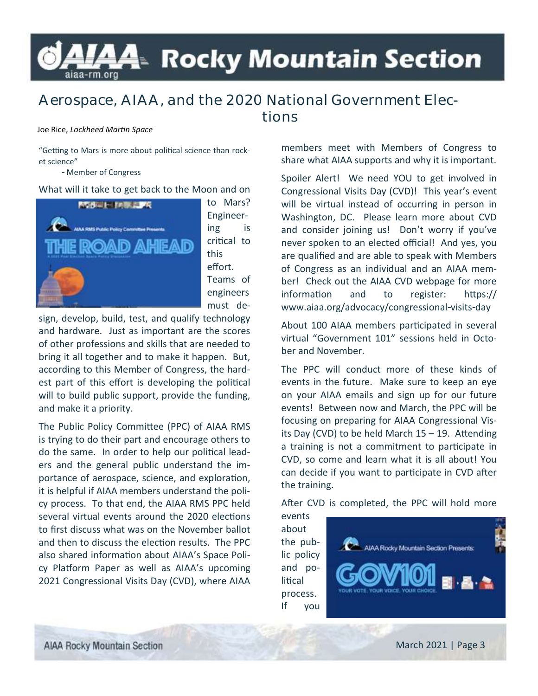# L⁄44 Rocky Mountain Section aiaa-rm.org

### **Aerospace, AIAA, and the 2020 National Government Elections**

#### Joe Rice, *Lockheed Martin Space*

"Getting to Mars is more about political science than rocket science"

- Member of Congress

#### What will it take to get back to the Moon and on



to Mars? Engineering is critical to this effort. Teams of engineers must de-

sign, develop, build, test, and qualify technology and hardware. Just as important are the scores of other professions and skills that are needed to bring it all together and to make it happen. But, according to this Member of Congress, the hardest part of this effort is developing the political will to build public support, provide the funding, and make it a priority.

The Public Policy Committee (PPC) of AIAA RMS is trying to do their part and encourage others to do the same. In order to help our political leaders and the general public understand the importance of aerospace, science, and exploration, it is helpful if AIAA members understand the policy process. To that end, the AIAA RMS PPC held several virtual events around the 2020 elections to first discuss what was on the November ballot and then to discuss the election results. The PPC also shared information about AIAA's Space Policy Platform Paper as well as AIAA's upcoming 2021 Congressional Visits Day (CVD), where AIAA

members meet with Members of Congress to share what AIAA supports and why it is important.

Spoiler Alert! We need YOU to get involved in Congressional Visits Day (CVD)! This year's event will be virtual instead of occurring in person in Washington, DC. Please learn more about CVD and consider joining us! Don't worry if you've never spoken to an elected official! And yes, you are qualified and are able to speak with Members of Congress as an individual and an AIAA member! Check out the AIAA CVD webpage for more information and to register: https:// www.aiaa.org/advocacy/congressional-visits-day

About 100 AIAA members participated in several virtual "Government 101" sessions held in October and November.

The PPC will conduct more of these kinds of events in the future. Make sure to keep an eye on your AIAA emails and sign up for our future events! Between now and March, the PPC will be focusing on preparing for AIAA Congressional Visits Day (CVD) to be held March 15 – 19. Attending a training is not a commitment to participate in CVD, so come and learn what it is all about! You can decide if you want to participate in CVD after the training.

After CVD is completed, the PPC will hold more

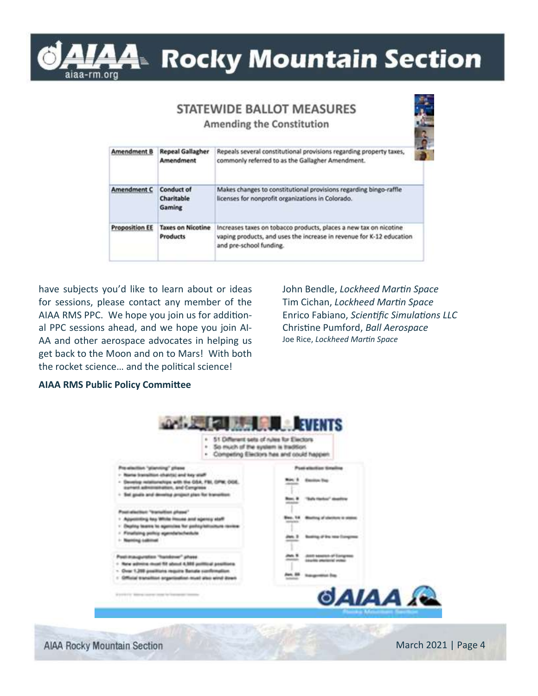

# L⁄44≥ Rocky Mountain Section

# **STATEWIDE BALLOT MEASURES**

**Amending the Constitution** 

| <b>Amendment B</b>    | <b>Repeal Gallagher</b><br>Amendment        | Repeals several constitutional provisions regarding property taxes,<br>commonly referred to as the Gallagher Amendment.                                              |
|-----------------------|---------------------------------------------|----------------------------------------------------------------------------------------------------------------------------------------------------------------------|
| <b>Amendment C</b>    | <b>Conduct of</b><br>Charitable<br>Gaming   | Makes changes to constitutional provisions regarding bingo-raffle<br>licenses for nonprofit organizations in Colorado.                                               |
| <b>Proposition EE</b> | <b>Taxes on Nicotine</b><br><b>Products</b> | Increases taxes on tobacco products, places a new tax on nicotine<br>vaping products, and uses the increase in revenue for K-12 education<br>and pre-school funding. |

have subjects you'd like to learn about or ideas for sessions, please contact any member of the AIAA RMS PPC. We hope you join us for additional PPC sessions ahead, and we hope you join AI-AA and other aerospace advocates in helping us get back to the Moon and on to Mars! With both the rocket science… and the political science!

John Bendle, *Lockheed Martin Space* Tim Cichan, *Lockheed Martin Space* Enrico Fabiano, *Scientific Simulations LLC* Christine Pumford, *Ball Aerospace* Joe Rice, *Lockheed Martin Space*

#### **AIAA RMS Public Policy Committee**



**AIAA Rocky Mountain Section**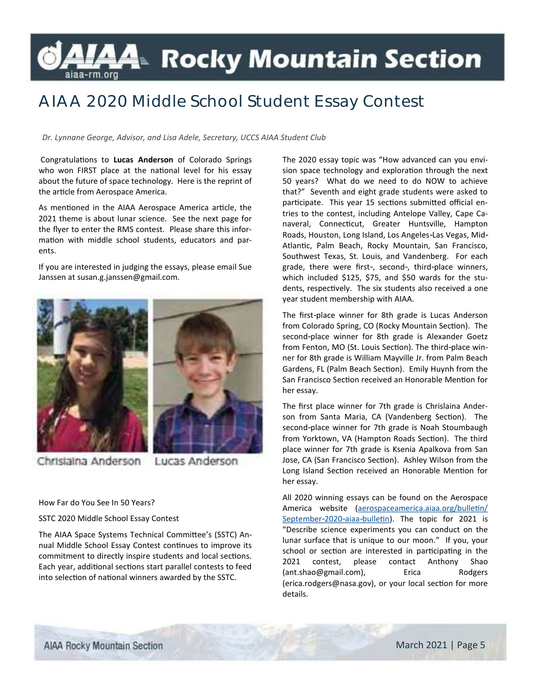# LAA Rocky Mountain Section

# **AIAA 2020 Middle School Student Essay Contest**

*Dr. Lynnane George, Advisor, and Lisa Adele, Secretary, UCCS AIAA Student Club*

Congratulations to **Lucas Anderson** of Colorado Springs who won FIRST place at the national level for his essay about the future of space technology. Here is the reprint of the article from Aerospace America.

As mentioned in the AIAA Aerospace America article, the 2021 theme is about lunar science. See the next page for the flyer to enter the RMS contest. Please share this information with middle school students, educators and parents.

If you are interested in judging the essays, please email Sue Janssen at susan.g.janssen@gmail.com.



Chrislaina Anderson Lucas Anderson

How Far do You See In 50 Years?

SSTC 2020 Middle School Essay Contest

The AIAA Space Systems Technical Committee's (SSTC) Annual Middle School Essay Contest continues to improve its commitment to directly inspire students and local sections. Each year, additional sections start parallel contests to feed into selection of national winners awarded by the SSTC.

The 2020 essay topic was "How advanced can you envision space technology and exploration through the next 50 years? What do we need to do NOW to achieve that?" Seventh and eight grade students were asked to participate. This year 15 sections submitted official entries to the contest, including Antelope Valley, Cape Canaveral, Connecticut, Greater Huntsville, Hampton Roads, Houston, Long Island, Los Angeles-Las Vegas, Mid-Atlantic, Palm Beach, Rocky Mountain, San Francisco, Southwest Texas, St. Louis, and Vandenberg. For each grade, there were first-, second-, third-place winners, which included \$125, \$75, and \$50 wards for the students, respectively. The six students also received a one year student membership with AIAA.

The first-place winner for 8th grade is Lucas Anderson from Colorado Spring, CO (Rocky Mountain Section). The second-place winner for 8th grade is Alexander Goetz from Fenton, MO (St. Louis Section). The third-place winner for 8th grade is William Mayville Jr. from Palm Beach Gardens, FL (Palm Beach Section). Emily Huynh from the San Francisco Section received an Honorable Mention for her essay.

The first place winner for 7th grade is Chrislaina Anderson from Santa Maria, CA (Vandenberg Section). The second-place winner for 7th grade is Noah Stoumbaugh from Yorktown, VA (Hampton Roads Section). The third place winner for 7th grade is Ksenia Apalkova from San Jose, CA (San Francisco Section). Ashley Wilson from the Long Island Section received an Honorable Mention for her essay.

All 2020 winning essays can be found on the Aerospace America website [\(aerospaceamerica.aiaa.org/bulletin/](aerospaceamerica.aiaa.org/bulletin/September-2020-aiaa-bulletin) [September-2020-aiaa-bulletin\).](aerospaceamerica.aiaa.org/bulletin/September-2020-aiaa-bulletin) The topic for 2021 is "Describe science experiments you can conduct on the lunar surface that is unique to our moon." If you, your school or section are interested in participating in the 2021 contest, please contact Anthony Shao (ant.shao@gmail.com), Erica Rodgers (erica.rodgers@nasa.gov), or your local section for more details.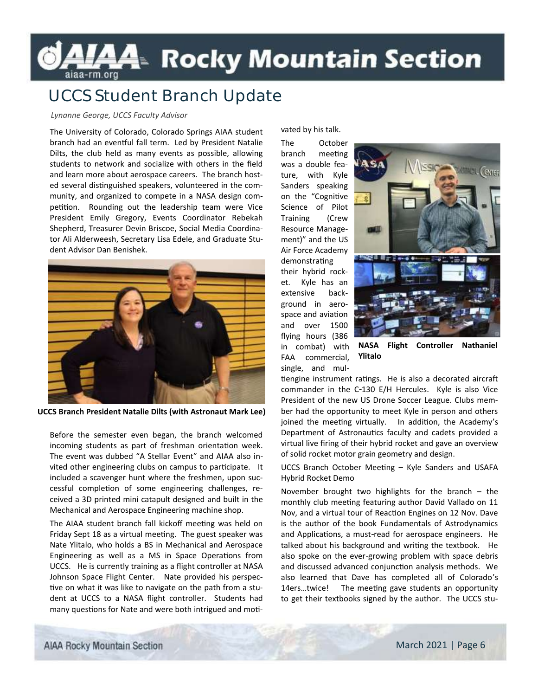# **LAA**≥ Rocky Mountain Section

## **UCCS Student Branch Update**

#### *Lynanne George, UCCS Faculty Advisor*

The University of Colorado, Colorado Springs AIAA student branch had an eventful fall term. Led by President Natalie Dilts, the club held as many events as possible, allowing students to network and socialize with others in the field and learn more about aerospace careers. The branch hosted several distinguished speakers, volunteered in the community, and organized to compete in a NASA design competition. Rounding out the leadership team were Vice President Emily Gregory, Events Coordinator Rebekah Shepherd, Treasurer Devin Briscoe, Social Media Coordinator Ali Alderweesh, Secretary Lisa Edele, and Graduate Student Advisor Dan Benishek.



**UCCS Branch President Natalie Dilts (with Astronaut Mark Lee)**

Before the semester even began, the branch welcomed incoming students as part of freshman orientation week. The event was dubbed "A Stellar Event" and AIAA also invited other engineering clubs on campus to participate. It included a scavenger hunt where the freshmen, upon successful completion of some engineering challenges, received a 3D printed mini catapult designed and built in the Mechanical and Aerospace Engineering machine shop.

The AIAA student branch fall kickoff meeting was held on Friday Sept 18 as a virtual meeting. The guest speaker was Nate Ylitalo, who holds a BS in Mechanical and Aerospace Engineering as well as a MS in Space Operations from UCCS. He is currently training as a flight controller at NASA Johnson Space Flight Center. Nate provided his perspective on what it was like to navigate on the path from a student at UCCS to a NASA flight controller. Students had many questions for Nate and were both intrigued and motivated by his talk.

The October branch meeting was a double feature, with Kyle Sanders speaking on the "Cognitive Science of Pilot Training (Crew Resource Management)" and the US Air Force Academy demonstrating

their hybrid rocket. Kyle has an extensive background in aerospace and aviation and over 1500 flying hours (386 in combat) with FAA commercial, single, and mul-



**NASA Flight Controller Nathaniel Ylitalo**

tiengine instrument ratings. He is also a decorated aircraft commander in the C-130 E/H Hercules. Kyle is also Vice President of the new US Drone Soccer League. Clubs member had the opportunity to meet Kyle in person and others joined the meeting virtually. In addition, the Academy's Department of Astronautics faculty and cadets provided a virtual live firing of their hybrid rocket and gave an overview of solid rocket motor grain geometry and design.

UCCS Branch October Meeting – Kyle Sanders and USAFA Hybrid Rocket Demo

November brought two highlights for the branch – the monthly club meeting featuring author David Vallado on 11 Nov, and a virtual tour of Reaction Engines on 12 Nov. Dave is the author of the book Fundamentals of Astrodynamics and Applications, a must-read for aerospace engineers. He talked about his background and writing the textbook. He also spoke on the ever-growing problem with space debris and discussed advanced conjunction analysis methods. We also learned that Dave has completed all of Colorado's 14ers…twice! The meeting gave students an opportunity to get their textbooks signed by the author. The UCCS stu-